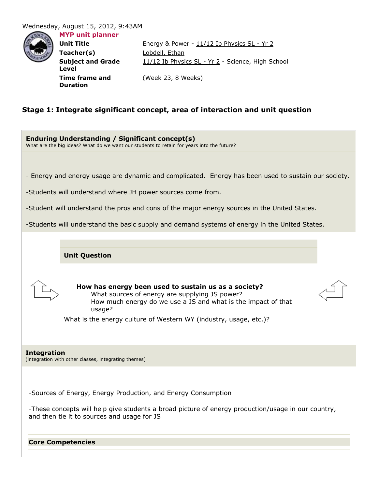## Wednesday, August 15, 2012, 9:43AM

**Level**

**Duration**



**MYP unit planner**

**Subject and Grade** 

**Time frame and** 

**Unit Title** Energy & Power - 11/12 Ib Physics SL - Yr 2 **Teacher(s)** Lobdell, Ethan 11/12 Ib Physics SL - Yr 2 - Science, High School (Week 23, 8 Weeks)

# **Stage 1: Integrate significant concept, area of interaction and unit question**

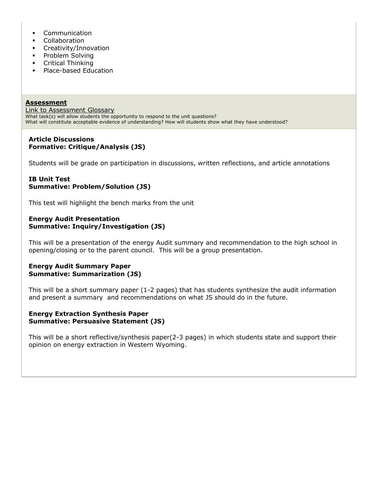- **•** Communication
- Collaboration
- **Creativity/Innovation**
- Problem Solving
- **•** Critical Thinking
- Place-based Education

**Assessment** [Link to Assessment Glossary](http://journeysschool.rubiconatlas.org/links/Journeys_School_Assessment_Glossary_Draft_3.doc) What task(s) will allow students the opportunity to respond to the unit questions? What will constitute acceptable evidence of understanding? How will students show what they have understood?

### **Article Discussions Formative: Critique/Analysis (JS)**

Students will be grade on participation in discussions, written reflections, and article annotations

## **IB Unit Test Summative: Problem/Solution (JS)**

This test will highlight the bench marks from the unit

### **Energy Audit Presentation Summative: Inquiry/Investigation (JS)**

This will be a presentation of the energy Audit summary and recommendation to the high school in opening/closing or to the parent council. This will be a group presentation.

## **Energy Audit Summary Paper Summative: Summarization (JS)**

This will be a short summary paper (1-2 pages) that has students synthesize the audit information and present a summary and recommendations on what JS should do in the future.

## **Energy Extraction Synthesis Paper Summative: Persuasive Statement (JS)**

This will be a short reflective/synthesis paper(2-3 pages) in which students state and support their opinion on energy extraction in Western Wyoming.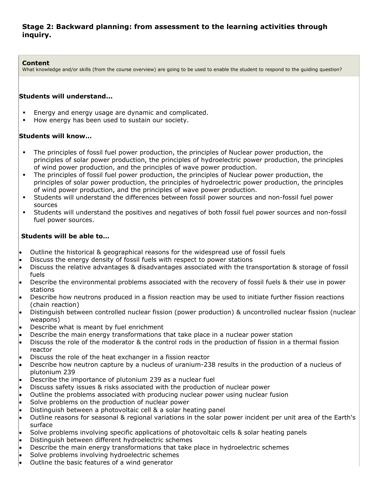# **Stage 2: Backward planning: from assessment to the learning activities through inquiry.**

### **Content**

What knowledge and/or skills (from the course overview) are going to be used to enable the student to respond to the guiding question?

## **Students will understand...**

- Energy and energy usage are dynamic and complicated.
- How energy has been used to sustain our society.

## **Students will know…**

- The principles of fossil fuel power production, the principles of Nuclear power production, the principles of solar power production, the principles of hydroelectric power production, the principles of wind power production, and the principles of wave power production.
- The principles of fossil fuel power production, the principles of Nuclear power production, the principles of solar power production, the principles of hydroelectric power production, the principles of wind power production, and the principles of wave power production.
- Students will understand the differences between fossil power sources and non-fossil fuel power sources
- Students will understand the positives and negatives of both fossil fuel power sources and non-fossil fuel power sources.

# **Students will be able to…**

- Outline the historical & geographical reasons for the widespread use of fossil fuels
- Discuss the energy density of fossil fuels with respect to power stations
- Discuss the relative advantages & disadvantages associated with the transportation & storage of fossil fuels
- Describe the environmental problems associated with the recovery of fossil fuels & their use in power stations
- Describe how neutrons produced in a fission reaction may be used to initiate further fission reactions (chain reaction)
- Distinguish between controlled nuclear fission (power production) & uncontrolled nuclear fission (nuclear weapons)
- Describe what is meant by fuel enrichment
- Describe the main energy transformations that take place in a nuclear power station
- Discuss the role of the moderator & the control rods in the production of fission in a thermal fission reactor
- Discuss the role of the heat exchanger in a fission reactor
- Describe how neutron capture by a nucleus of uranium-238 results in the production of a nucleus of plutonium 239
- Describe the importance of plutonium 239 as a nuclear fuel
- Discuss safety issues & risks associated with the production of nuclear power
- Outline the problems associated with producing nuclear power using nuclear fusion
- Solve problems on the production of nuclear power
- Distinguish between a photovoltaic cell & a solar heating panel
- Outline reasons for seasonal & regional variations in the solar power incident per unit area of the Earth's surface
- Solve problems involving specific applications of photovoltaic cells & solar heating panels
- Distinguish between different hydroelectric schemes
- Describe the main energy transformations that take place in hydroelectric schemes
- Solve problems involving hydroelectric schemes
- Outline the basic features of a wind generator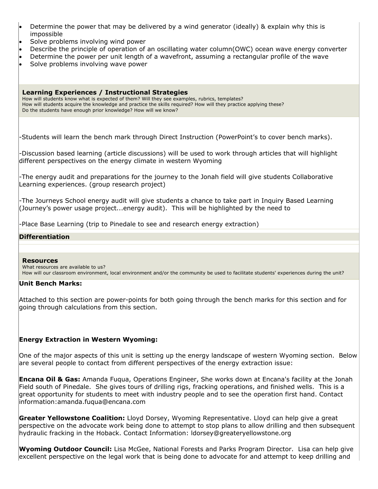| • Determine the power that may be delivered by a wind generator (ideally) & explain why this is |
|-------------------------------------------------------------------------------------------------|
| impossible                                                                                      |

- Solve problems involving wind power
- Describe the principle of operation of an oscillating water column(OWC) ocean wave energy converter
- Determine the power per unit length of a wavefront, assuming a rectangular profile of the wave
- Solve problems involving wave power

#### **Learning Experiences / Instructional Strategies**

How will students know what is expected of them? Will they see examples, rubrics, templates? How will students acquire the knowledge and practice the skills required? How will they practice applying these? Do the students have enough prior knowledge? How will we know?

-Students will learn the bench mark through Direct Instruction (PowerPoint's to cover bench marks).

-Discussion based learning (article discussions) will be used to work through articles that will highlight different perspectives on the energy climate in western Wyoming

-The energy audit and preparations for the journey to the Jonah field will give students Collaborative Learning experiences. (group research project)

-The Journeys School energy audit will give students a chance to take part in Inquiry Based Learning (Journey's power usage project...energy audit). This will be highlighted by the need to

-Place Base Learning (trip to Pinedale to see and research energy extraction)

### **Differentiation**

#### **Resources**

What resources are available to us? How will our classroom environment, local environment and/or the community be used to facilitate students' experiences during the unit?

#### **Unit Bench Marks:**

Attached to this section are power-points for both going through the bench marks for this section and for going through calculations from this section.

## **Energy Extraction in Western Wyoming:**

One of the major aspects of this unit is setting up the energy landscape of western Wyoming section. Below are several people to contact from different perspectives of the energy extraction issue:

**Encana Oil & Gas:** Amanda Fuqua, Operations Engineer, She works down at Encana's facility at the Jonah Field south of Pinedale. She gives tours of drilling rigs, fracking operations, and finished wells. This is a great opportunity for students to meet with industry people and to see the operation first hand. Contact information:amanda.fuqua@encana.com

**Greater Yellowstone Coalition:** Lloyd Dorsey, Wyoming Representative. Lloyd can help give a great perspective on the advocate work being done to attempt to stop plans to allow drilling and then subsequent hydraulic fracking in the Hoback. Contact Information: ldorsey@greateryellowstone.org

**Wyoming Outdoor Council:** Lisa McGee, National Forests and Parks Program Director. Lisa can help give excellent perspective on the legal work that is being done to advocate for and attempt to keep drilling and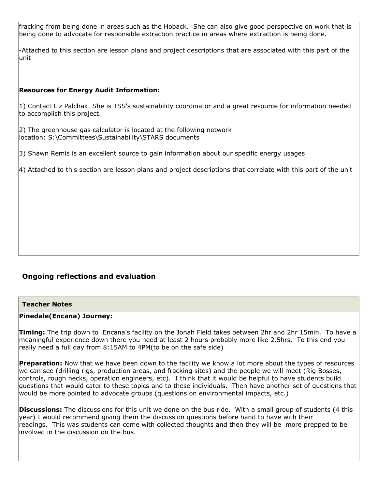fracking from being done in areas such as the Hoback. She can also give good perspective on work that is being done to advocate for responsible extraction practice in areas where extraction is being done.

-Attached to this section are lesson plans and project descriptions that are associated with this part of the unit

## **Resources for Energy Audit Information:**

1) Contact Liz Palchak. She is TSS's sustainability coordinator and a great resource for information needed to accomplish this project.

2) The greenhouse gas calculator is located at the following network location: S:\Committees\Sustainability\STARS documents

3) Shawn Remis is an excellent source to gain information about our specific energy usages

4) Attached to this section are lesson plans and project descriptions that correlate with this part of the unit

# **Ongoing reflections and evaluation**

### **Teacher Notes**

#### **Pinedale(Encana) Journey:**

**Timing:** The trip down to Encana's facility on the Jonah Field takes between 2hr and 2hr 15min. To have a meaningful experience down there you need at least 2 hours probably more like 2.5hrs. To this end you really need a full day from 8:15AM to 4PM(to be on the safe side)

**Preparation:** Now that we have been down to the facility we know a lot more about the types of resources we can see (drilling rigs, production areas, and fracking sites) and the people we will meet (Rig Bosses, controls, rough necks, operation engineers, etc). I think that it would be helpful to have students build questions that would cater to these topics and to these individuals. Then have another set of questions that would be more pointed to advocate groups (questions on environmental impacts, etc.)

**Discussions:** The discussions for this unit we done on the bus ride. With a small group of students (4 this year) I would recommend giving them the discussion questions before hand to have with their readings. This was students can come with collected thoughts and then they will be more prepped to be involved in the discussion on the bus.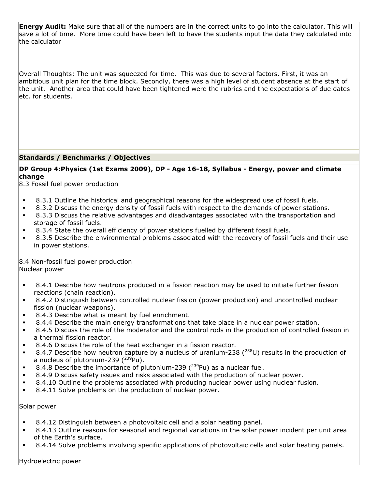**Energy Audit:** Make sure that all of the numbers are in the correct units to go into the calculator. This will save a lot of time. More time could have been left to have the students input the data they calculated into the calculator

Overall Thoughts: The unit was squeezed for time. This was due to several factors. First, it was an ambitious unit plan for the time block. Secondly, there was a high level of student absence at the start of the unit. Another area that could have been tightened were the rubrics and the expectations of due dates etc. for students.

## **Standards / Benchmarks / Objectives**

## **DP Group 4:Physics (1st Exams 2009), DP - Age 16-18, Syllabus - Energy, power and climate change**

8.3 Fossil fuel power production

- 8.3.1 Outline the historical and geographical reasons for the widespread use of fossil fuels.
- 8.3.2 Discuss the energy density of fossil fuels with respect to the demands of power stations.
- 8.3.3 Discuss the relative advantages and disadvantages associated with the transportation and storage of fossil fuels.
- 8.3.4 State the overall efficiency of power stations fuelled by different fossil fuels.
- 8.3.5 Describe the environmental problems associated with the recovery of fossil fuels and their use in power stations.

8.4 Non-fossil fuel power production Nuclear power

- 8.4.1 Describe how neutrons produced in a fission reaction may be used to initiate further fission reactions (chain reaction).
- 8.4.2 Distinguish between controlled nuclear fission (power production) and uncontrolled nuclear fission (nuclear weapons).
- 8.4.3 Describe what is meant by fuel enrichment.
- 8.4.4 Describe the main energy transformations that take place in a nuclear power station.
- 8.4.5 Discuss the role of the moderator and the control rods in the production of controlled fission in a thermal fission reactor.
- 8.4.6 Discuss the role of the heat exchanger in a fission reactor.
- 8.4.7 Describe how neutron capture by a nucleus of uranium-238 ( $^{238}$ U) results in the production of a nucleus of plutonium-239  $(^{239}$ Pu).
- 8.4.8 Describe the importance of plutonium-239  $(^{239}$ Pu) as a nuclear fuel.
- 8.4.9 Discuss safety issues and risks associated with the production of nuclear power.
- 8.4.10 Outline the problems associated with producing nuclear power using nuclear fusion.
- 8.4.11 Solve problems on the production of nuclear power.

Solar power

- 8.4.12 Distinguish between a photovoltaic cell and a solar heating panel.
- 8.4.13 Outline reasons for seasonal and regional variations in the solar power incident per unit area of the Earth's surface.
- 8.4.14 Solve problems involving specific applications of photovoltaic cells and solar heating panels.

Hydroelectric power